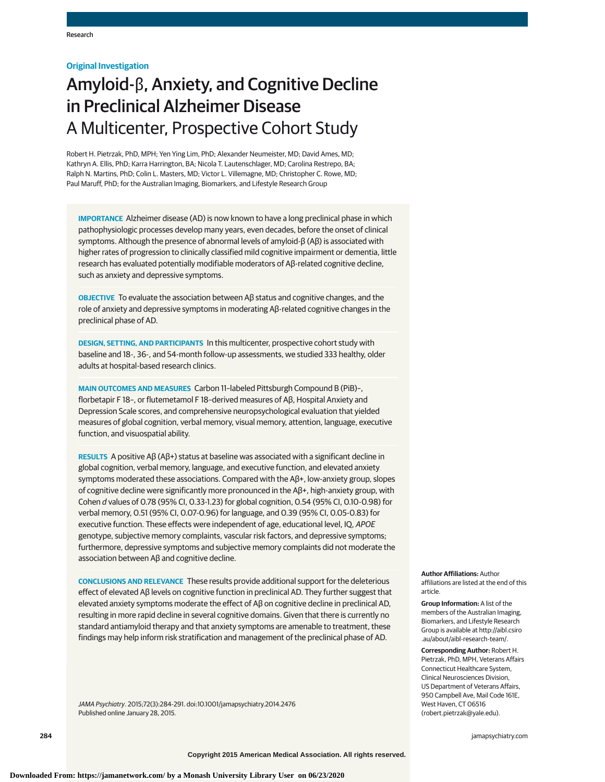# **Original Investigation**

# Amyloid-β, Anxiety, and Cognitive Decline in Preclinical Alzheimer Disease A Multicenter, Prospective Cohort Study

Robert H. Pietrzak, PhD, MPH; Yen Ying Lim, PhD; Alexander Neumeister, MD; David Ames, MD; Kathryn A. Ellis, PhD; Karra Harrington, BA; Nicola T. Lautenschlager, MD; Carolina Restrepo, BA; Ralph N. Martins, PhD; Colin L. Masters, MD; Victor L. Villemagne, MD; Christopher C. Rowe, MD; Paul Maruff, PhD; for the Australian Imaging, Biomarkers, and Lifestyle Research Group

**IMPORTANCE** Alzheimer disease (AD) is now known to have a long preclinical phase in which pathophysiologic processes develop many years, even decades, before the onset of clinical symptoms. Although the presence of abnormal levels of amyloid-β (Aβ) is associated with higher rates of progression to clinically classified mild cognitive impairment or dementia, little research has evaluated potentially modifiable moderators of Aβ-related cognitive decline, such as anxiety and depressive symptoms.

**OBJECTIVE** To evaluate the association between Aβ status and cognitive changes, and the role of anxiety and depressive symptoms in moderating Aβ-related cognitive changes in the preclinical phase of AD.

**DESIGN, SETTING, AND PARTICIPANTS** In this multicenter, prospective cohort study with baseline and 18-, 36-, and 54-month follow-up assessments, we studied 333 healthy, older adults at hospital-based research clinics.

**MAIN OUTCOMES AND MEASURES** Carbon 11–labeled Pittsburgh Compound B (PiB)–, florbetapir F 18–, or flutemetamol F 18–derived measures of Aβ, Hospital Anxiety and Depression Scale scores, and comprehensive neuropsychological evaluation that yielded measures of global cognition, verbal memory, visual memory, attention, language, executive function, and visuospatial ability.

**RESULTS** A positive Aβ (Aβ+) status at baseline was associated with a significant decline in global cognition, verbal memory, language, and executive function, and elevated anxiety symptoms moderated these associations. Compared with the Aβ+, low-anxiety group, slopes of cognitive decline were significantly more pronounced in the Aβ+, high-anxiety group, with Cohen d values of 0.78 (95% CI, 0.33-1.23) for global cognition, 0.54 (95% CI, 0.10-0.98) for verbal memory, 0.51 (95% CI, 0.07-0.96) for language, and 0.39 (95% CI, 0.05-0.83) for executive function. These effects were independent of age, educational level, IQ, APOE genotype, subjective memory complaints, vascular risk factors, and depressive symptoms; furthermore, depressive symptoms and subjective memory complaints did not moderate the association between Aβ and cognitive decline.

**CONCLUSIONS AND RELEVANCE** These results provide additional support for the deleterious effect of elevated Aβ levels on cognitive function in preclinical AD. They further suggest that elevated anxiety symptoms moderate the effect of Aβ on cognitive decline in preclinical AD, resulting in more rapid decline in several cognitive domains. Given that there is currently no standard antiamyloid therapy and that anxiety symptoms are amenable to treatment, these findings may help inform risk stratification and management of the preclinical phase of AD.

JAMA Psychiatry. 2015;72(3):284-291. doi:10.1001/jamapsychiatry.2014.2476 Published online January 28, 2015.

**Author Affiliations:** Author affiliations are listed at the end of this article.

**Group Information:** A list of the members of the Australian Imaging, Biomarkers, and Lifestyle Research Group is available at http://aibl.csiro .au/about/aibl-research-team/.

**Corresponding Author:** Robert H. Pietrzak, PhD, MPH, Veterans Affairs Connecticut Healthcare System, Clinical Neurosciences Division, US Department of Veterans Affairs, 950 Campbell Ave, Mail Code 161E, West Haven, CT 06516 (robert.pietrzak@yale.edu).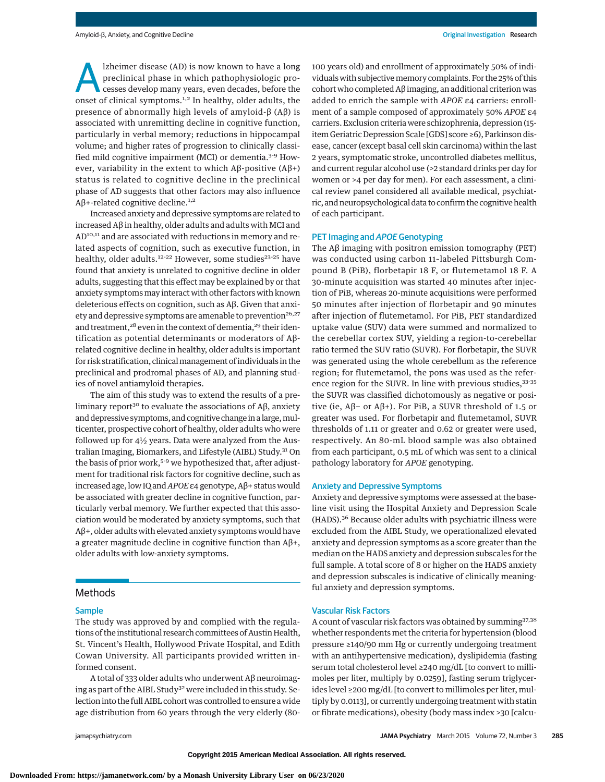**Exheimer disease (AD) is now known to have a long<br>preclinical phase in which pathophysiologic pro-<br>cesses develop many years, even decades, before the<br>present of clinical symptoms 12 In boalthy, older adults the** preclinical phase in which pathophysiologic proonset of clinical symptoms.1,2 In healthy, older adults, the presence of abnormally high levels of amyloid-β (Aβ) is associated with unremitting decline in cognitive function, particularly in verbal memory; reductions in hippocampal volume; and higher rates of progression to clinically classified mild cognitive impairment (MCI) or dementia.<sup>3-9</sup> However, variability in the extent to which  $Aβ$ -positive ( $Aβ$ +) status is related to cognitive decline in the preclinical phase of AD suggests that other factors may also influence Aβ+-related cognitive decline.<sup>1,2</sup>

Increased anxiety and depressive symptoms are related to increased Aβ in healthy, older adults and adults with MCI and AD<sup>10,11</sup> and are associated with reductions in memory and related aspects of cognition, such as executive function, in healthy, older adults.<sup>12-22</sup> However, some studies<sup>23-25</sup> have found that anxiety is unrelated to cognitive decline in older adults, suggesting that this effect may be explained by or that anxiety symptoms may interact with other factors with known deleterious effects on cognition, such as Aβ. Given that anxiety and depressive symptoms are amenable to prevention<sup>26,27</sup> and treatment,<sup>28</sup> even in the context of dementia,<sup>29</sup> their identification as potential determinants or moderators of Aβrelated cognitive decline in healthy, older adults is important for risk stratification, clinicalmanagement of individuals in the preclinical and prodromal phases of AD, and planning studies of novel antiamyloid therapies.

The aim of this study was to extend the results of a preliminary report<sup>30</sup> to evaluate the associations of Aβ, anxiety and depressive symptoms, and cognitive change in a large, multicenter, prospective cohort of healthy, older adults who were followed up for  $4\frac{1}{2}$  years. Data were analyzed from the Australian Imaging, Biomarkers, and Lifestyle (AIBL) Study.<sup>31</sup> On the basis of prior work,<sup>5-9</sup> we hypothesized that, after adjustment for traditional risk factors for cognitive decline, such as increased age, low IQ and *APOE*ε4 genotype, Aβ+ status would be associated with greater decline in cognitive function, particularly verbal memory. We further expected that this association would be moderated by anxiety symptoms, such that Aβ+, older adults with elevated anxiety symptoms would have a greater magnitude decline in cognitive function than Aβ+, older adults with low-anxiety symptoms.

## Methods

#### **Sample**

The study was approved by and complied with the regulations of the institutional research committees of Austin Health, St. Vincent's Health, Hollywood Private Hospital, and Edith Cowan University. All participants provided written informed consent.

A total of 333 older adults who underwent Aβ neuroimaging as part of the AIBL Study<sup>32</sup> were included in this study. Selection into the full AIBL cohort was controlled to ensure a wide age distribution from 60 years through the very elderly (80-

100 years old) and enrollment of approximately 50% of individuals with subjective memory complaints. For the 25% of this cohort who completed Aβ imaging, an additional criterion was added to enrich the sample with *APOE* ε4 carriers: enrollment of a sample composed of approximately 50% *APOE* ε4 carriers. Exclusion criteria were schizophrenia, depression (15 item Geriatric Depression Scale [GDS] score ≥6), Parkinson disease, cancer (except basal cell skin carcinoma) within the last 2 years, symptomatic stroke, uncontrolled diabetes mellitus, and current regular alcohol use (>2 standard drinks per day for women or >4 per day for men). For each assessment, a clinical review panel considered all available medical, psychiatric, and neuropsychological data to confirm the cognitive health of each participant.

### PET Imaging and APOE Genotyping

The Aβ imaging with positron emission tomography (PET) was conducted using carbon 11–labeled Pittsburgh Compound B (PiB), florbetapir 18 F, or flutemetamol 18 F. A 30-minute acquisition was started 40 minutes after injection of PiB, whereas 20-minute acquisitions were performed 50 minutes after injection of florbetapir and 90 minutes after injection of flutemetamol. For PiB, PET standardized uptake value (SUV) data were summed and normalized to the cerebellar cortex SUV, yielding a region-to-cerebellar ratio termed the SUV ratio (SUVR). For florbetapir, the SUVR was generated using the whole cerebellum as the reference region; for flutemetamol, the pons was used as the reference region for the SUVR. In line with previous studies, 33-35 the SUVR was classified dichotomously as negative or positive (ie, Aβ− or Aβ+). For PiB, a SUVR threshold of 1.5 or greater was used. For florbetapir and flutemetamol, SUVR thresholds of 1.11 or greater and 0.62 or greater were used, respectively. An 80-mL blood sample was also obtained from each participant, 0.5 mL of which was sent to a clinical pathology laboratory for *APOE* genotyping.

#### Anxiety and Depressive Symptoms

Anxiety and depressive symptoms were assessed at the baseline visit using the Hospital Anxiety and Depression Scale (HADS).<sup>36</sup> Because older adults with psychiatric illness were excluded from the AIBL Study, we operationalized elevated anxiety and depression symptoms as a score greater than the median on the HADS anxiety and depression subscales for the full sample. A total score of 8 or higher on the HADS anxiety and depression subscales is indicative of clinically meaningful anxiety and depression symptoms.

#### Vascular Risk Factors

A count of vascular risk factors was obtained by summing<sup>37,38</sup> whether respondents met the criteria for hypertension (blood pressure ≥140/90 mm Hg or currently undergoing treatment with an antihypertensive medication), dyslipidemia (fasting serum total cholesterol level ≥240 mg/dL [to convert to millimoles per liter, multiply by 0.0259], fasting serum triglycerides level ≥200 mg/dL [to convert to millimoles per liter, multiply by 0.0113], or currently undergoing treatment with statin or fibrate medications), obesity (body mass index >30 [calcu-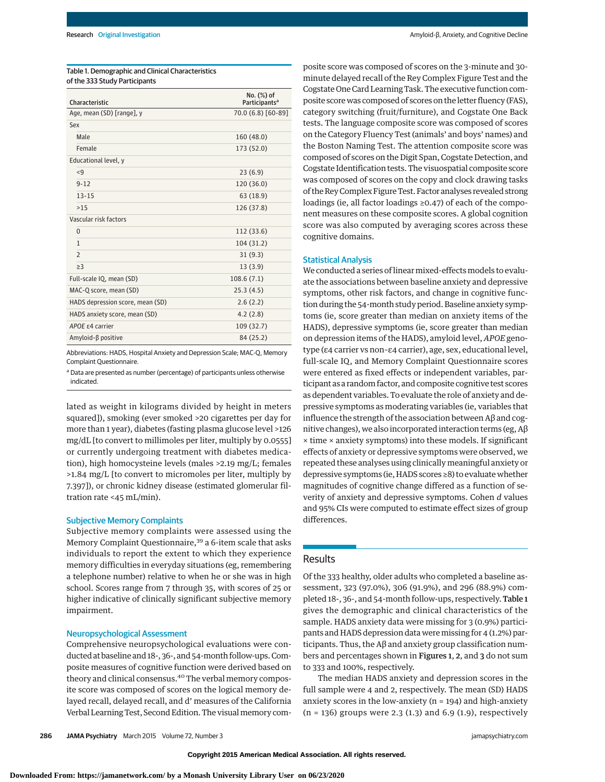# Table 1. Demographic and Clinical Characteristics of the 333 Study Participants

| Characteristic                   | No. (%) of<br>Participants <sup>a</sup> |
|----------------------------------|-----------------------------------------|
| Age, mean (SD) [range], y        | 70.0 (6.8) [60-89]                      |
| Sex                              |                                         |
| Male                             | 160 (48.0)                              |
| Female                           | 173 (52.0)                              |
| Educational level, y             |                                         |
| $\leq$ 9                         | 23(6.9)                                 |
| $9 - 12$                         | 120 (36.0)                              |
| $13 - 15$                        | 63 (18.9)                               |
| >15                              | 126 (37.8)                              |
| Vascular risk factors            |                                         |
| $\Omega$                         | 112 (33.6)                              |
| $\mathbf{1}$                     | 104 (31.2)                              |
| $\overline{2}$                   | 31(9.3)                                 |
| $\geq$ 3                         | 13(3.9)                                 |
| Full-scale IQ, mean (SD)         | 108.6(7.1)                              |
| MAC-Q score, mean (SD)           | 25.3(4.5)                               |
| HADS depression score, mean (SD) | 2.6(2.2)                                |
| HADS anxiety score, mean (SD)    | 4.2(2.8)                                |
| APOE $\varepsilon$ 4 carrier     | 109 (32.7)                              |
| Amyloid- <sub>B</sub> positive   | 84 (25.2)                               |

Abbreviations: HADS, Hospital Anxiety and Depression Scale; MAC-Q, Memory Complaint Questionnaire.

<sup>a</sup> Data are presented as number (percentage) of participants unless otherwise indicated.

lated as weight in kilograms divided by height in meters squared]), smoking (ever smoked >20 cigarettes per day for more than 1 year), diabetes (fasting plasma glucose level >126 mg/dL [to convert to millimoles per liter, multiply by 0.0555] or currently undergoing treatment with diabetes medication), high homocysteine levels (males >2.19 mg/L; females >1.84 mg/L [to convert to micromoles per liter, multiply by 7.397]), or chronic kidney disease (estimated glomerular filtration rate <45 mL/min).

### Subjective Memory Complaints

Subjective memory complaints were assessed using the Memory Complaint Questionnaire,<sup>39</sup> a 6-item scale that asks individuals to report the extent to which they experience memory difficulties in everyday situations (eg, remembering a telephone number) relative to when he or she was in high school. Scores range from 7 through 35, with scores of 25 or higher indicative of clinically significant subjective memory impairment.

# Neuropsychological Assessment

Comprehensive neuropsychological evaluations were conducted at baseline and 18-, 36-, and 54-month follow-ups. Composite measures of cognitive function were derived based on theory and clinical consensus.<sup>40</sup> The verbal memory composite score was composed of scores on the logical memory delayed recall, delayed recall, and d' measures of the California Verbal Learning Test, Second Edition. The visual memory composite score was composed of scores on the 3-minute and 30 minute delayed recall of the Rey Complex Figure Test and the Cogstate One Card Learning Task. The executive function composite score was composed of scores on the letter fluency (FAS), category switching (fruit/furniture), and Cogstate One Back tests. The language composite score was composed of scores on the Category Fluency Test (animals' and boys' names) and the Boston Naming Test. The attention composite score was composed of scores on the Digit Span, Cogstate Detection, and Cogstate Identification tests. The visuospatial composite score was composed of scores on the copy and clock drawing tasks of the Rey Complex Figure Test. Factor analyses revealed strong loadings (ie, all factor loadings ≥0.47) of each of the component measures on these composite scores. A global cognition score was also computed by averaging scores across these cognitive domains.

#### Statistical Analysis

We conducted a series of linear mixed-effects models to evaluate the associations between baseline anxiety and depressive symptoms, other risk factors, and change in cognitive function during the 54-month study period. Baseline anxiety symptoms (ie, score greater than median on anxiety items of the HADS), depressive symptoms (ie, score greater than median on depression items of the HADS), amyloid level, *APOE* genotype (ε4 carrier vs non–ε4 carrier), age, sex, educational level, full-scale IQ, and Memory Complaint Questionnaire scores were entered as fixed effects or independent variables, participant as a random factor, and composite cognitive test scores as dependent variables. To evaluate the role of anxiety and depressive symptoms as moderating variables (ie, variables that influence the strength of the association between Aβ and cognitive changes), we also incorporated interaction terms (eg, Aβ × time × anxiety symptoms) into these models. If significant effects of anxiety or depressive symptoms were observed, we repeated these analyses using clinically meaningful anxiety or depressive symptoms (ie, HADS scores ≥8) to evaluate whether magnitudes of cognitive change differed as a function of severity of anxiety and depressive symptoms. Cohen *d* values and 95% CIs were computed to estimate effect sizes of group differences.

# Results

Of the 333 healthy, older adults who completed a baseline assessment, 323 (97.0%), 306 (91.9%), and 296 (88.9%) completed 18-, 36-, and 54-month follow-ups, respectively.Table 1 gives the demographic and clinical characteristics of the sample. HADS anxiety data were missing for 3 (0.9%) participants and HADS depression data were missing for 4 (1.2%) participants. Thus, the Aβ and anxiety group classification numbers and percentages shown in Figures 1, 2, and 3 do not sum to 333 and 100%, respectively.

The median HADS anxiety and depression scores in the full sample were 4 and 2, respectively. The mean (SD) HADS anxiety scores in the low-anxiety ( $n = 194$ ) and high-anxiety (n = 136) groups were 2.3 (1.3) and 6.9 (1.9), respectively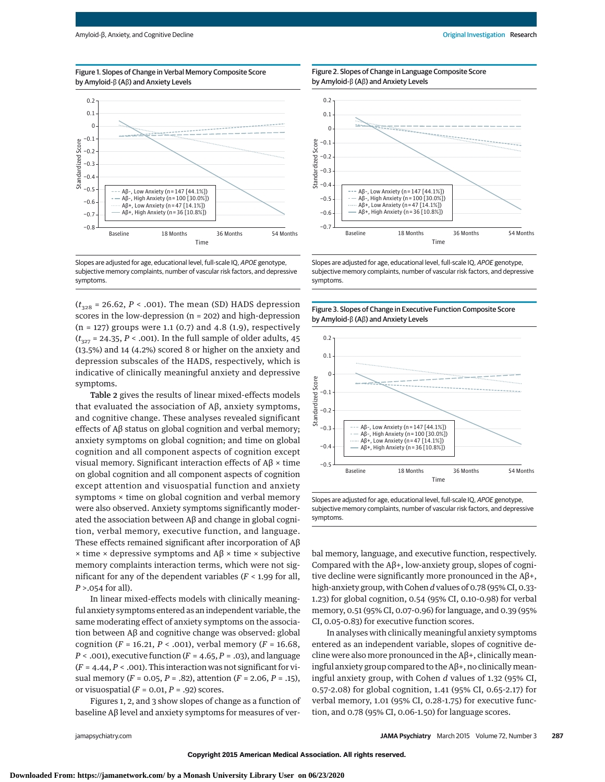#### Figure 1. Slopes of Change in Verbal Memory Composite Score by Amyloid-β (Aβ) and Anxiety Levels



Slopes are adjusted for age, educational level, full-scale IQ, APOE genotype, subjective memory complaints, number of vascular risk factors, and depressive symptoms.

 $(t_{328} = 26.62, P < .001)$ . The mean (SD) HADS depression scores in the low-depression (n = 202) and high-depression  $(n = 127)$  groups were 1.1 (0.7) and 4.8 (1.9), respectively  $(t_{227} = 24.35, P < .001)$ . In the full sample of older adults, 45 (13.5%) and 14 (4.2%) scored 8 or higher on the anxiety and depression subscales of the HADS, respectively, which is indicative of clinically meaningful anxiety and depressive symptoms.

Table 2 gives the results of linear mixed-effects models that evaluated the association of Aβ, anxiety symptoms, and cognitive change. These analyses revealed significant effects of Aβ status on global cognition and verbal memory; anxiety symptoms on global cognition; and time on global cognition and all component aspects of cognition except visual memory. Significant interaction effects of Aβ × time on global cognition and all component aspects of cognition except attention and visuospatial function and anxiety symptoms × time on global cognition and verbal memory were also observed. Anxiety symptoms significantly moderated the association between Aβ and change in global cognition, verbal memory, executive function, and language. These effects remained significant after incorporation of Aβ  $\times$  time  $\times$  depressive symptoms and A $\beta \times$  time  $\times$  subjective memory complaints interaction terms, which were not significant for any of the dependent variables (*F* < 1.99 for all, *P* >.054 for all).

In linear mixed-effects models with clinically meaningful anxiety symptoms entered as an independent variable, the same moderating effect of anxiety symptoms on the association between Aβ and cognitive change was observed: global cognition (*F* = 16.21, *P* < .001), verbal memory (*F* = 16.68, *P* < .001), executive function (*F* = 4.65, *P* = .03), and language  $(F = 4.44, P < .001)$ . This interaction was not significant for visual memory (*F* = 0.05, *P* = .82), attention (*F* = 2.06, *P* = .15), or visuospatial (*F* = 0.01, *P* = .92) scores.

Figures 1, 2, and 3 show slopes of change as a function of baseline Aβ level and anxiety symptoms for measures of ver-

Figure 2. Slopes of Change in Language Composite Score by Amyloid-β (Aβ) and Anxiety Levels



Slopes are adjusted for age, educational level, full-scale IQ, APOE genotype, subjective memory complaints, number of vascular risk factors, and depressive symptoms.



Figure 3. Slopes of Change in Executive Function Composite Score by Amyloid-β (Aβ) and Anxiety Levels

Slopes are adjusted for age, educational level, full-scale IQ, APOE genotype, subjective memory complaints, number of vascular risk factors, and depressive symptoms.

bal memory, language, and executive function, respectively. Compared with the Aβ+, low-anxiety group, slopes of cognitive decline were significantly more pronounced in the Aβ+, high-anxiety group, with Cohen *d* values of 0.78 (95% CI, 0.33- 1.23) for global cognition, 0.54 (95% CI, 0.10-0.98) for verbal memory, 0.51 (95% CI, 0.07-0.96) for language, and 0.39 (95% CI, 0.05-0.83) for executive function scores.

In analyses with clinically meaningful anxiety symptoms entered as an independent variable, slopes of cognitive decline were also more pronounced in the Aβ+, clinically meaningful anxiety group compared to the Aβ+, no clinically meaningful anxiety group, with Cohen *d* values of 1.32 (95% CI, 0.57-2.08) for global cognition, 1.41 (95% CI, 0.65-2.17) for verbal memory, 1.01 (95% CI, 0.28-1.75) for executive function, and 0.78 (95% CI, 0.06-1.50) for language scores.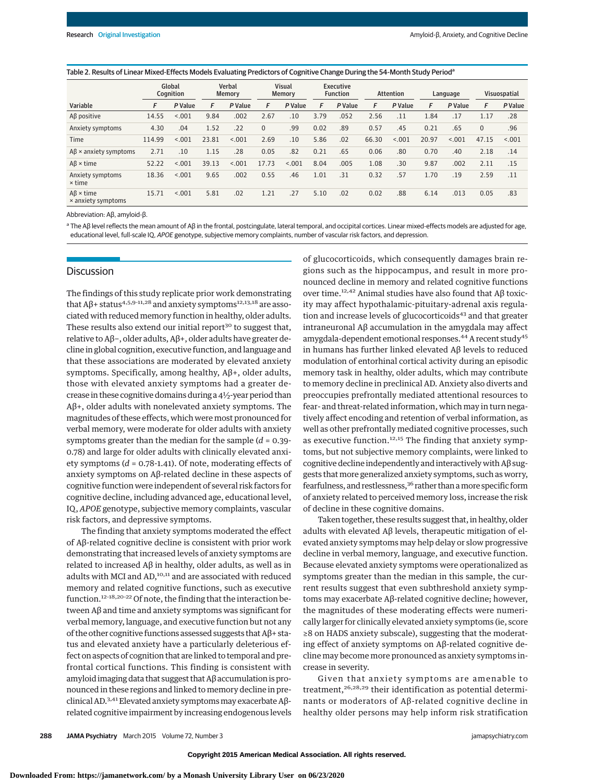#### Table 2. Results of Linear Mixed-Effects Models Evaluating Predictors of Cognitive Change During the 54-Month Study Period<sup>a</sup>

|                                        | Global<br>Cognition |         | Verbal<br>Memory |         | Visual<br>Memory |         | <b>Executive</b><br><b>Function</b> |         | Attention |         | Language |         | <b>Visuospatial</b> |         |
|----------------------------------------|---------------------|---------|------------------|---------|------------------|---------|-------------------------------------|---------|-----------|---------|----------|---------|---------------------|---------|
| Variable                               | F                   | P Value | F                | P Value | F                | P Value | F                                   | P Value | F         | P Value | F        | P Value | F                   | P Value |
| Aß positive                            | 14.55               | < 0.001 | 9.84             | .002    | 2.67             | .10     | 3.79                                | .052    | 2.56      | .11     | 1.84     | .17     | 1.17                | .28     |
| Anxiety symptoms                       | 4.30                | .04     | 1.52             | .22     | $\Omega$         | .99     | 0.02                                | .89     | 0.57      | .45     | 0.21     | .65     | $\mathbf{0}$        | .96     |
| Time                                   | 114.99              | < 0.001 | 23.81            | < 0.001 | 2.69             | .10     | 5.86                                | .02     | 66.30     | < 0.001 | 20.97    | < 0.001 | 47.15               | < .001  |
| $AB \times$ anxiety symptoms           | 2.71                | .10     | 1.15             | .28     | 0.05             | .82     | 0.21                                | .65     | 0.06      | .80     | 0.70     | .40     | 2.18                | .14     |
| $AB \times time$                       | 52.22               | < .001  | 39.13            | < .001  | 17.73            | < 0.01  | 8.04                                | .005    | 1.08      | .30     | 9.87     | .002    | 2.11                | .15     |
| Anxiety symptoms<br>× time             | 18.36               | < 0.001 | 9.65             | .002    | 0.55             | .46     | 1.01                                | .31     | 0.32      | .57     | 1.70     | .19     | 2.59                | .11     |
| $AB \times time$<br>x anxiety symptoms | 15.71               | < 0.01  | 5.81             | .02     | 1.21             | .27     | 5.10                                | .02     | 0.02      | .88     | 6.14     | .013    | 0.05                | .83     |

Abbreviation: Aβ, amyloid-β.

a The Aβ level reflects the mean amount of Aβ in the frontal, postcingulate, lateral temporal, and occipital cortices. Linear mixed-effects models are adjusted for age, educational level, full-scale IQ, APOE genotype, subjective memory complaints, number of vascular risk factors, and depression.

# **Discussion**

The findings of this study replicate prior work demonstrating that Aβ+ status<sup>4,5,9-11,28</sup> and anxiety symptoms<sup>12,13,18</sup> are associated with reduced memory function in healthy, older adults. These results also extend our initial report<sup>30</sup> to suggest that, relative to Aβ−, older adults, Aβ+, older adults have greater decline in global cognition, executive function, and language and that these associations are moderated by elevated anxiety symptoms. Specifically, among healthy, Aβ+, older adults, those with elevated anxiety symptoms had a greater decrease in these cognitive domains during a 4½-year period than Aβ+, older adults with nonelevated anxiety symptoms. The magnitudes of these effects, which were most pronounced for verbal memory, were moderate for older adults with anxiety symptoms greater than the median for the sample (*d* = 0.39- 0.78) and large for older adults with clinically elevated anxiety symptoms (*d* = 0.78-1.41). Of note, moderating effects of anxiety symptoms on Aβ-related decline in these aspects of cognitive function were independent of several risk factors for cognitive decline, including advanced age, educational level, IQ, *APOE* genotype, subjective memory complaints, vascular risk factors, and depressive symptoms.

The finding that anxiety symptoms moderated the effect of Aβ-related cognitive decline is consistent with prior work demonstrating that increased levels of anxiety symptoms are related to increased  $A\beta$  in healthy, older adults, as well as in adults with MCI and AD,<sup>10,11</sup> and are associated with reduced memory and related cognitive functions, such as executive function.<sup>12-18,20-22</sup> Of note, the finding that the interaction between Aβ and time and anxiety symptoms was significant for verbal memory, language, and executive function but not any of the other cognitive functions assessed suggests that Aβ+ status and elevated anxiety have a particularly deleterious effect on aspects of cognition that are linked to temporal and prefrontal cortical functions. This finding is consistent with amyloid imaging data that suggest that Aβ accumulation is pronounced in these regions and linked to memory decline in preclinical AD.<sup>3,41</sup> Elevated anxiety symptoms may exacerbate Aβrelated cognitive impairment by increasing endogenous levels of glucocorticoids, which consequently damages brain regions such as the hippocampus, and result in more pronounced decline in memory and related cognitive functions over time.<sup>12,42</sup> Animal studies have also found that  $Aβ$  toxicity may affect hypothalamic-pituitary-adrenal axis regulation and increase levels of glucocorticoids<sup>43</sup> and that greater intraneuronal Aβ accumulation in the amygdala may affect amygdala-dependent emotional responses.44 A recent study45 in humans has further linked elevated Aβ levels to reduced modulation of entorhinal cortical activity during an episodic memory task in healthy, older adults, which may contribute to memory decline in preclinical AD. Anxiety also diverts and preoccupies prefrontally mediated attentional resources to fear- and threat-related information, which may in turn negatively affect encoding and retention of verbal information, as well as other prefrontally mediated cognitive processes, such as executive function. $12,15$  The finding that anxiety symptoms, but not subjective memory complaints, were linked to cognitive decline independently and interactively with Aβ suggests that more generalized anxiety symptoms, such as worry, fearfulness, and restlessness,<sup>36</sup> rather than a more specific form of anxiety related to perceived memory loss, increase the risk of decline in these cognitive domains.

Taken together, these results suggest that, in healthy, older adults with elevated Aβ levels, therapeutic mitigation of elevated anxiety symptoms may help delay or slow progressive decline in verbal memory, language, and executive function. Because elevated anxiety symptoms were operationalized as symptoms greater than the median in this sample, the current results suggest that even subthreshold anxiety symptoms may exacerbate Aβ-related cognitive decline; however, the magnitudes of these moderating effects were numerically larger for clinically elevated anxiety symptoms (ie, score ≥8 on HADS anxiety subscale), suggesting that the moderating effect of anxiety symptoms on Aβ-related cognitive decline may become more pronounced as anxiety symptoms increase in severity.

Given that anxiety symptoms are amenable to treatment,<sup>26,28,29</sup> their identification as potential determinants or moderators of Aβ-related cognitive decline in healthy older persons may help inform risk stratification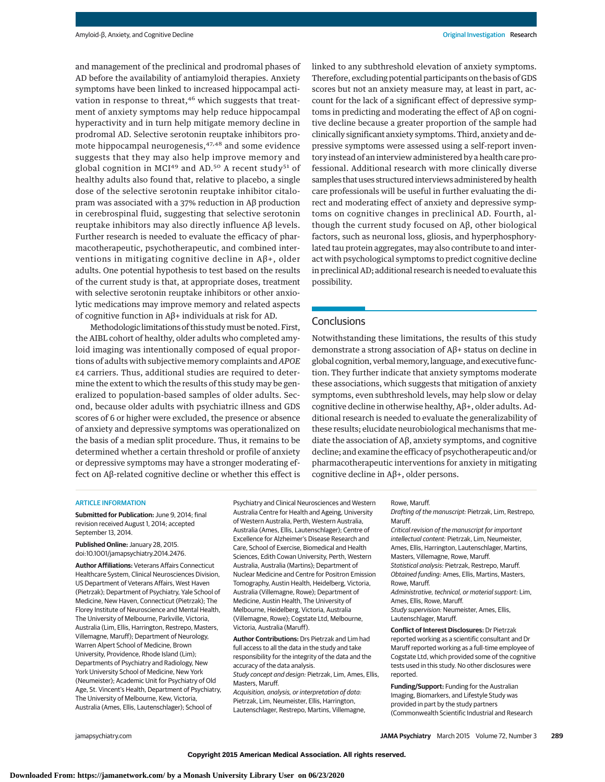and management of the preclinical and prodromal phases of AD before the availability of antiamyloid therapies. Anxiety symptoms have been linked to increased hippocampal activation in response to threat,<sup>46</sup> which suggests that treatment of anxiety symptoms may help reduce hippocampal hyperactivity and in turn help mitigate memory decline in prodromal AD. Selective serotonin reuptake inhibitors promote hippocampal neurogenesis,47,48 and some evidence suggests that they may also help improve memory and global cognition in MCI<sup>49</sup> and AD.<sup>50</sup> A recent study<sup>51</sup> of healthy adults also found that, relative to placebo, a single dose of the selective serotonin reuptake inhibitor citalopram was associated with a 37% reduction in Aβ production in cerebrospinal fluid, suggesting that selective serotonin reuptake inhibitors may also directly influence Aβ levels. Further research is needed to evaluate the efficacy of pharmacotherapeutic, psychotherapeutic, and combined interventions in mitigating cognitive decline in Aβ+, older adults. One potential hypothesis to test based on the results of the current study is that, at appropriate doses, treatment with selective serotonin reuptake inhibitors or other anxiolytic medications may improve memory and related aspects of cognitive function in Aβ+ individuals at risk for AD.

Methodologic limitations of this study must be noted. First, the AIBL cohort of healthy, older adults who completed amyloid imaging was intentionally composed of equal proportions of adults with subjective memory complaints and *APOE* ε4 carriers. Thus, additional studies are required to determine the extent to which the results of this study may be generalized to population-based samples of older adults. Second, because older adults with psychiatric illness and GDS scores of 6 or higher were excluded, the presence or absence of anxiety and depressive symptoms was operationalized on the basis of a median split procedure. Thus, it remains to be determined whether a certain threshold or profile of anxiety or depressive symptoms may have a stronger moderating effect on Aβ-related cognitive decline or whether this effect is

linked to any subthreshold elevation of anxiety symptoms. Therefore, excluding potential participants on the basis of GDS scores but not an anxiety measure may, at least in part, account for the lack of a significant effect of depressive symptoms in predicting and moderating the effect of Aβ on cognitive decline because a greater proportion of the sample had clinically significant anxiety symptoms. Third, anxiety and depressive symptoms were assessed using a self-report inventory instead of an interview administered by a health care professional. Additional research with more clinically diverse samples that uses structured interviews administered by health care professionals will be useful in further evaluating the direct and moderating effect of anxiety and depressive symptoms on cognitive changes in preclinical AD. Fourth, although the current study focused on Aβ, other biological factors, such as neuronal loss, gliosis, and hyperphosphorylated tau protein aggregates, may also contribute to and interact with psychological symptoms to predict cognitive decline in preclinical AD; additional research is needed to evaluate this possibility.

# **Conclusions**

Notwithstanding these limitations, the results of this study demonstrate a strong association of Aβ+ status on decline in global cognition, verbal memory, language, and executive function. They further indicate that anxiety symptoms moderate these associations, which suggests that mitigation of anxiety symptoms, even subthreshold levels, may help slow or delay cognitive decline in otherwise healthy, Aβ+, older adults. Additional research is needed to evaluate the generalizability of these results; elucidate neurobiological mechanisms that mediate the association of Aβ, anxiety symptoms, and cognitive decline; and examine the efficacy of psychotherapeutic and/or pharmacotherapeutic interventions for anxiety in mitigating cognitive decline in Aβ+, older persons.

#### ARTICLE INFORMATION

**Submitted for Publication:** June 9, 2014; final revision received August 1, 2014; accepted September 13, 2014.

**Published Online:** January 28, 2015. doi:10.1001/jamapsychiatry.2014.2476.

**Author Affiliations:** Veterans Affairs Connecticut Healthcare System, Clinical Neurosciences Division, US Department of Veterans Affairs, West Haven (Pietrzak); Department of Psychiatry, Yale School of Medicine, New Haven, Connecticut (Pietrzak); The Florey Institute of Neuroscience and Mental Health, The University of Melbourne, Parkville, Victoria, Australia (Lim, Ellis, Harrington, Restrepo, Masters, Villemagne, Maruff); Department of Neurology, Warren Alpert School of Medicine, Brown University, Providence, Rhode Island (Lim); Departments of Psychiatry and Radiology, New York University School of Medicine, New York (Neumeister); Academic Unit for Psychiatry of Old Age, St. Vincent's Health, Department of Psychiatry, The University of Melbourne, Kew, Victoria, Australia (Ames, Ellis, Lautenschlager); School of

Psychiatry and Clinical Neurosciences and Western Australia Centre for Health and Ageing, University of Western Australia, Perth, Western Australia, Australia (Ames, Ellis, Lautenschlager); Centre of Excellence for Alzheimer's Disease Research and Care, School of Exercise, Biomedical and Health Sciences, Edith Cowan University, Perth, Western Australia, Australia (Martins); Department of Nuclear Medicine and Centre for Positron Emission Tomography, Austin Health, Heidelberg, Victoria, Australia (Villemagne, Rowe); Department of Medicine, Austin Health, The University of Melbourne, Heidelberg, Victoria, Australia (Villemagne, Rowe); Cogstate Ltd, Melbourne, Victoria, Australia (Maruff).

**Author Contributions:** Drs Pietrzak and Lim had full access to all the data in the study and take responsibility for the integrity of the data and the accuracy of the data analysis.

Study concept and design: Pietrzak, Lim, Ames, Ellis, Masters, Maruff.

Acquisition, analysis, or interpretation of data: Pietrzak, Lim, Neumeister, Ellis, Harrington, Lautenschlager, Restrepo, Martins, Villemagne, Rowe, Maruff.

Drafting of the manuscript: Pietrzak, Lim, Restrepo, Maruff.

Critical revision of the manuscript for important intellectual content: Pietrzak, Lim, Neumeister, Ames, Ellis, Harrington, Lautenschlager, Martins, Masters, Villemagne, Rowe, Maruff. Statistical analysis: Pietrzak, Restrepo, Maruff. Obtained funding: Ames, Ellis, Martins, Masters, Rowe, Maruff.

Administrative, technical, or material support: Lim, Ames, Ellis, Rowe, Maruff.

Study supervision: Neumeister, Ames, Ellis, Lautenschlager, Maruff.

**Conflict of Interest Disclosures:** Dr Pietrzak reported working as a scientific consultant and Dr Maruff reported working as a full-time employee of Cogstate Ltd, which provided some of the cognitive tests used in this study. No other disclosures were reported.

**Funding/Support:** Funding for the Australian Imaging, Biomarkers, and Lifestyle Study was provided in part by the study partners (Commonwealth Scientific Industrial and Research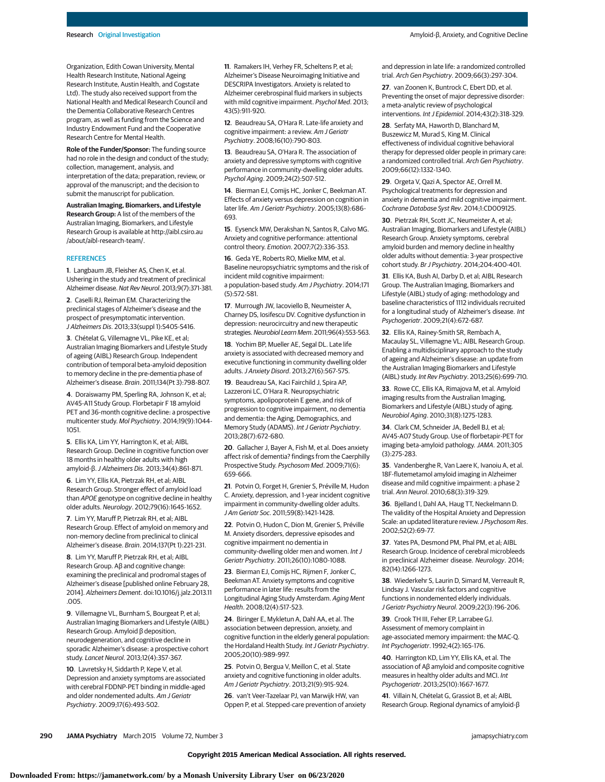Organization, Edith Cowan University, Mental Health Research Institute, National Ageing Research Institute, Austin Health, and Cogstate Ltd). The study also received support from the National Health and Medical Research Council and the Dementia Collaborative Research Centres program, as well as funding from the Science and Industry Endowment Fund and the Cooperative Research Centre for Mental Health.

**Role of the Funder/Sponsor:** The funding source had no role in the design and conduct of the study; collection, management, analysis, and interpretation of the data; preparation, review, or approval of the manuscript; and the decision to submit the manuscript for publication.

**Australian Imaging, Biomarkers, and Lifestyle Research Group:** A list of the members of the Australian Imaging, Biomarkers, and Lifestyle Research Group is available at http://aibl.csiro.au /about/aibl-research-team/.

# **REFERENCES**

**1**. Langbaum JB, Fleisher AS, Chen K, et al. Ushering in the study and treatment of preclinical Alzheimer disease. Nat Rev Neurol. 2013;9(7):371-381.

**2**. Caselli RJ, Reiman EM. Characterizing the preclinical stages of Alzheimer's disease and the prospect of presymptomatic intervention. J Alzheimers Dis. 2013;33(suppl 1):S405-S416.

**3**. Chételat G, Villemagne VL, Pike KE, et al; Australian Imaging Biomarkers and Lifestyle Study of ageing (AIBL) Research Group. Independent contribution of temporal beta-amyloid deposition to memory decline in the pre-dementia phase of Alzheimer's disease. Brain. 2011;134(Pt 3):798-807.

**4**. Doraiswamy PM, Sperling RA, Johnson K, et al; AV45-A11 Study Group. Florbetapir F 18 amyloid PET and 36-month cognitive decline: a prospective multicenter study. Mol Psychiatry. 2014;19(9):1044- 1051.

**5**. Ellis KA, Lim YY, Harrington K, et al; AIBL Research Group. Decline in cognitive function over 18 months in healthy older adults with high amyloid-β.J Alzheimers Dis. 2013;34(4):861-871.

**6**. Lim YY, Ellis KA, Pietrzak RH, et al; AIBL Research Group. Stronger effect of amyloid load than APOE genotype on cognitive decline in healthy older adults. Neurology. 2012;79(16):1645-1652.

**7**. Lim YY, Maruff P, Pietrzak RH, et al; AIBL Research Group. Effect of amyloid on memory and non-memory decline from preclinical to clinical Alzheimer's disease. Brain. 2014;137(Pt 1):221-231.

**8**. Lim YY, Maruff P, Pietrzak RH, et al; AIBL Research Group. Aβ and cognitive change: examining the preclinical and prodromal stages of Alzheimer's disease [published online February 28, 2014]. Alzheimers Dement. doi:10.1016/j.jalz.2013.11 .005.

**9**. Villemagne VL, Burnham S, Bourgeat P, et al; Australian Imaging Biomarkers and Lifestyle (AIBL) Research Group. Amyloid β deposition, neurodegeneration, and cognitive decline in sporadic Alzheimer's disease: a prospective cohort study. Lancet Neurol. 2013;12(4):357-367.

**10**. Lavretsky H, Siddarth P, Kepe V, et al. Depression and anxiety symptoms are associated with cerebral FDDNP-PET binding in middle-aged and older nondemented adults. Am J Geriatr Psychiatry. 2009;17(6):493-502.

**11**. Ramakers IH, Verhey FR, Scheltens P, et al; Alzheimer's Disease Neuroimaging Initiative and DESCRIPA Investigators. Anxiety is related to Alzheimer cerebrospinal fluid markers in subjects with mild cognitive impairment. Psychol Med. 2013; 43(5):911-920.

**12**. Beaudreau SA, O'Hara R. Late-life anxiety and cognitive impairment: a review. Am J Geriatr Psychiatry. 2008;16(10):790-803.

**13**. Beaudreau SA, O'Hara R. The association of anxiety and depressive symptoms with cognitive performance in community-dwelling older adults. Psychol Aging. 2009;24(2):507-512.

**14**. Bierman EJ, Comijs HC, Jonker C, Beekman AT. Effects of anxiety versus depression on cognition in later life. Am J Geriatr Psychiatry. 2005;13(8):686- 693.

**15**. Eysenck MW, Derakshan N, Santos R, Calvo MG. Anxiety and cognitive performance: attentional control theory. Emotion. 2007;7(2):336-353.

**16**. Geda YE, Roberts RO, Mielke MM, et al. Baseline neuropsychiatric symptoms and the risk of incident mild cognitive impairment: a population-based study. Am J Psychiatry. 2014;171 (5):572-581.

**17**. Murrough JW, Iacoviello B, Neumeister A, Charney DS, Iosifescu DV. Cognitive dysfunction in depression: neurocircuitry and new therapeutic strategies.Neurobiol Learn Mem. 2011;96(4):553-563.

**18**. Yochim BP, Mueller AE, Segal DL. Late life anxiety is associated with decreased memory and executive functioning in community dwelling older adults.J Anxiety Disord. 2013;27(6):567-575.

**19**. Beaudreau SA, Kaci Fairchild J, Spira AP, Lazzeroni LC, O'Hara R. Neuropsychiatric symptoms, apolipoprotein E gene, and risk of progression to cognitive impairment, no dementia and dementia: the Aging, Demographics, and Memory Study (ADAMS). Int J Geriatr Psychiatry. 2013;28(7):672-680.

**20**. Gallacher J, Bayer A, Fish M, et al. Does anxiety affect risk of dementia? findings from the Caerphilly Prospective Study. Psychosom Med. 2009;71(6): 659-666.

**21**. Potvin O, Forget H, Grenier S, Préville M, Hudon C. Anxiety, depression, and 1-year incident cognitive impairment in community-dwelling older adults. J Am Geriatr Soc. 2011;59(8):1421-1428.

**22**. Potvin O, Hudon C, Dion M, Grenier S, Préville M. Anxiety disorders, depressive episodes and cognitive impairment no dementia in community-dwelling older men and women. Int J Geriatr Psychiatry. 2011;26(10):1080-1088.

**23**. Bierman EJ, Comijs HC, Rijmen F, Jonker C, Beekman AT. Anxiety symptoms and cognitive performance in later life: results from the Longitudinal Aging Study Amsterdam. Aging Ment Health. 2008;12(4):517-523.

**24**. Biringer E, Mykletun A, Dahl AA, et al. The association between depression, anxiety, and cognitive function in the elderly general population: the Hordaland Health Study. Int J Geriatr Psychiatry. 2005;20(10):989-997.

**25**. Potvin O, Bergua V, Meillon C, et al. State anxiety and cognitive functioning in older adults. Am J Geriatr Psychiatry. 2013;21(9):915-924.

**26**. van't Veer-Tazelaar PJ, van Marwijk HW, van Oppen P, et al. Stepped-care prevention of anxiety and depression in late life: a randomized controlled trial. Arch Gen Psychiatry. 2009;66(3):297-304.

**27**. van Zoonen K, Buntrock C, Ebert DD, et al. Preventing the onset of major depressive disorder: a meta-analytic review of psychological interventions. Int J Epidemiol. 2014;43(2):318-329.

**28**. Serfaty MA, Haworth D, Blanchard M, Buszewicz M, Murad S, King M. Clinical effectiveness of individual cognitive behavioral therapy for depressed older people in primary care: a randomized controlled trial. Arch Gen Psychiatry. 2009;66(12):1332-1340.

**29**. Orgeta V, Qazi A, Spector AE, Orrell M. Psychological treatments for depression and anxiety in dementia and mild cognitive impairment. Cochrane Database Syst Rev. 2014;1:CD009125.

**30**. Pietrzak RH, Scott JC, Neumeister A, et al; Australian Imaging, Biomarkers and Lifestyle (AIBL) Research Group. Anxiety symptoms, cerebral amyloid burden and memory decline in healthy older adults without dementia: 3-year prospective cohort study. Br J Psychiatry. 2014;204:400-401.

**31**. Ellis KA, Bush AI, Darby D, et al; AIBL Research Group. The Australian Imaging, Biomarkers and Lifestyle (AIBL) study of aging: methodology and baseline characteristics of 1112 individuals recruited for a longitudinal study of Alzheimer's disease. Int Psychogeriatr. 2009;21(4):672-687.

**32**. Ellis KA, Rainey-Smith SR, Rembach A, Macaulay SL, Villemagne VL; AIBL Research Group. Enabling a multidisciplinary approach to the study of ageing and Alzheimer's disease: an update from the Australian Imaging Biomarkers and Lifestyle (AIBL) study. Int Rev Psychiatry. 2013;25(6):699-710.

**33**. Rowe CC, Ellis KA, Rimajova M, et al. Amyloid imaging results from the Australian Imaging, Biomarkers and Lifestyle (AIBL) study of aging. Neurobiol Aging. 2010;31(8):1275-1283.

**34**. Clark CM, Schneider JA, Bedell BJ, et al; AV45-A07 Study Group. Use of florbetapir-PET for imaging beta-amyloid pathology. JAMA. 2011;305 (3):275-283.

**35**. Vandenberghe R, Van Laere K, Ivanoiu A, et al. 18F-flutemetamol amyloid imaging in Alzheimer disease and mild cognitive impairment: a phase 2 trial. Ann Neurol. 2010;68(3):319-329.

**36**. Bjelland I, Dahl AA, Haug TT, Neckelmann D. The validity of the Hospital Anxiety and Depression Scale: an updated literature review. J Psychosom Res. 2002;52(2):69-77.

**37**. Yates PA, Desmond PM, Phal PM, et al; AIBL Research Group. Incidence of cerebral microbleeds in preclinical Alzheimer disease. Neurology. 2014; 82(14):1266-1273.

**38**. Wiederkehr S, Laurin D, Simard M, Verreault R, Lindsay J. Vascular risk factors and cognitive functions in nondemented elderly individuals. J Geriatr Psychiatry Neurol. 2009;22(3):196-206.

**39**. Crook TH III, Feher EP, Larrabee GJ. Assessment of memory complaint in age-associated memory impairment: the MAC-Q. Int Psychogeriatr. 1992;4(2):165-176.

**40**. Harrington KD, Lim YY, Ellis KA, et al. The association of Aβ amyloid and composite cognitive measures in healthy older adults and MCI. Int Psychogeriatr. 2013;25(10):1667-1677.

**41**. Villain N, Chételat G, Grassiot B, et al; AIBL Research Group. Regional dynamics of amyloid-β